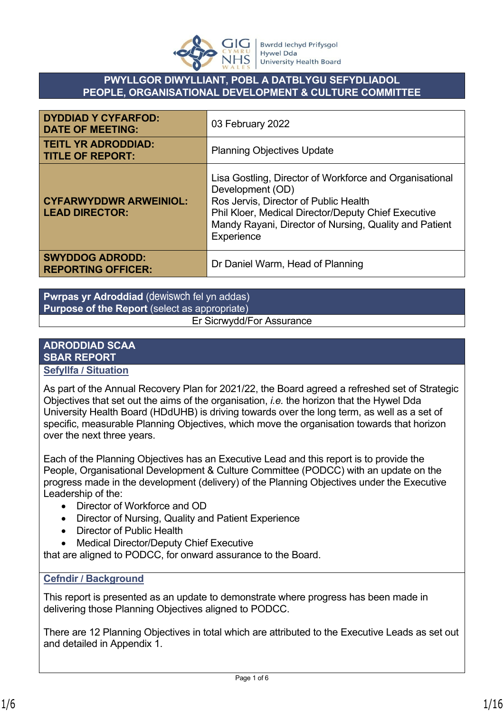

## **PWYLLGOR DIWYLLIANT, POBL A DATBLYGU SEFYDLIADOL PEOPLE, ORGANISATIONAL DEVELOPMENT & CULTURE COMMITTEE**

| <b>DYDDIAD Y CYFARFOD:</b><br><b>DATE OF MEETING:</b>  | 03 February 2022                                                                                                                                                                                                                                    |
|--------------------------------------------------------|-----------------------------------------------------------------------------------------------------------------------------------------------------------------------------------------------------------------------------------------------------|
| <b>TEITL YR ADRODDIAD:</b><br><b>TITLE OF REPORT:</b>  | <b>Planning Objectives Update</b>                                                                                                                                                                                                                   |
| <b>CYFARWYDDWR ARWEINIOL:</b><br><b>LEAD DIRECTOR:</b> | Lisa Gostling, Director of Workforce and Organisational<br>Development (OD)<br>Ros Jervis, Director of Public Health<br>Phil Kloer, Medical Director/Deputy Chief Executive<br>Mandy Rayani, Director of Nursing, Quality and Patient<br>Experience |
| <b>SWYDDOG ADRODD:</b><br><b>REPORTING OFFICER:</b>    | Dr Daniel Warm, Head of Planning                                                                                                                                                                                                                    |

**Pwrpas yr Adroddiad** (dewiswch fel yn addas) **Purpose of the Report** (select as appropriate) Er Sicrwydd/For Assurance

# **ADRODDIAD SCAA SBAR REPORT**

## **Sefyllfa / Situation**

As part of the Annual Recovery Plan for 2021/22, the Board agreed a refreshed set of Strategic Objectives that set out the aims of the organisation, *i.e.* the horizon that the Hywel Dda University Health Board (HDdUHB) is driving towards over the long term, as well as a set of specific, measurable Planning Objectives, which move the organisation towards that horizon over the next three years.

Each of the Planning Objectives has an Executive Lead and this report is to provide the People, Organisational Development & Culture Committee (PODCC) with an update on the progress made in the development (delivery) of the Planning Objectives under the Executive Leadership of the:

- Director of Workforce and OD
- Director of Nursing, Quality and Patient Experience
- Director of Public Health
- Medical Director/Deputy Chief Executive

that are aligned to PODCC, for onward assurance to the Board.

## **Cefndir / Background**

This report is presented as an update to demonstrate where progress has been made in delivering those Planning Objectives aligned to PODCC.

There are 12 Planning Objectives in total which are attributed to the Executive Leads as set out and detailed in Appendix 1.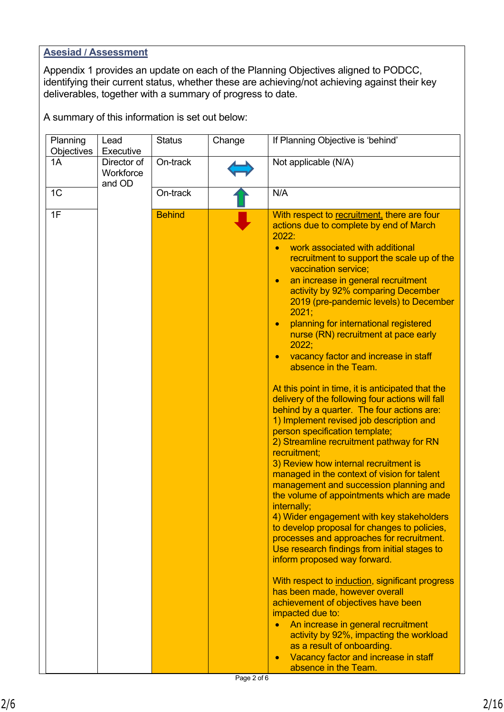#### **Asesiad / Assessment**

Appendix 1 provides an update on each of the Planning Objectives aligned to PODCC, identifying their current status, whether these are achieving/not achieving against their key deliverables, together with a summary of progress to date.

A summary of this information is set out below:

| Planning<br>Objectives | Lead<br>Executive                  | <b>Status</b> | Change | If Planning Objective is 'behind'                                                                                                                                                                                                                                                                                                                                                                                                                                                                                                                                                                                                                                                                                                                                                                                                                                                                                                                                                                                                                                                                                                                                                                                                                                                                                                                                                                                                                                                                                                                                                                                          |
|------------------------|------------------------------------|---------------|--------|----------------------------------------------------------------------------------------------------------------------------------------------------------------------------------------------------------------------------------------------------------------------------------------------------------------------------------------------------------------------------------------------------------------------------------------------------------------------------------------------------------------------------------------------------------------------------------------------------------------------------------------------------------------------------------------------------------------------------------------------------------------------------------------------------------------------------------------------------------------------------------------------------------------------------------------------------------------------------------------------------------------------------------------------------------------------------------------------------------------------------------------------------------------------------------------------------------------------------------------------------------------------------------------------------------------------------------------------------------------------------------------------------------------------------------------------------------------------------------------------------------------------------------------------------------------------------------------------------------------------------|
| 1A                     | Director of<br>Workforce<br>and OD | On-track      |        | Not applicable (N/A)                                                                                                                                                                                                                                                                                                                                                                                                                                                                                                                                                                                                                                                                                                                                                                                                                                                                                                                                                                                                                                                                                                                                                                                                                                                                                                                                                                                                                                                                                                                                                                                                       |
| 1 <sup>C</sup>         |                                    | On-track      |        | N/A                                                                                                                                                                                                                                                                                                                                                                                                                                                                                                                                                                                                                                                                                                                                                                                                                                                                                                                                                                                                                                                                                                                                                                                                                                                                                                                                                                                                                                                                                                                                                                                                                        |
| 1F                     |                                    | <b>Behind</b> |        | With respect to recruitment, there are four<br>actions due to complete by end of March<br>2022:<br>work associated with additional<br>recruitment to support the scale up of the<br>vaccination service;<br>an increase in general recruitment<br>$\bullet$<br>activity by 92% comparing December<br>2019 (pre-pandemic levels) to December<br>2021;<br>planning for international registered<br>$\bullet$<br>nurse (RN) recruitment at pace early<br>2022;<br>vacancy factor and increase in staff<br>$\bullet$<br>absence in the Team.<br>At this point in time, it is anticipated that the<br>delivery of the following four actions will fall<br>behind by a quarter. The four actions are:<br>1) Implement revised job description and<br>person specification template;<br>2) Streamline recruitment pathway for RN<br>recruitment;<br>3) Review how internal recruitment is<br>managed in the context of vision for talent<br>management and succession planning and<br>the volume of appointments which are made<br>internally;<br>4) Wider engagement with key stakeholders<br>to develop proposal for changes to policies,<br>processes and approaches for recruitment.<br>Use research findings from initial stages to<br>inform proposed way forward.<br>With respect to induction, significant progress<br>has been made, however overall<br>achievement of objectives have been<br>impacted due to:<br>An increase in general recruitment<br>$\bullet$<br>activity by 92%, impacting the workload<br>as a result of onboarding.<br>Vacancy factor and increase in staff<br>$\bullet$<br>absence in the Team. |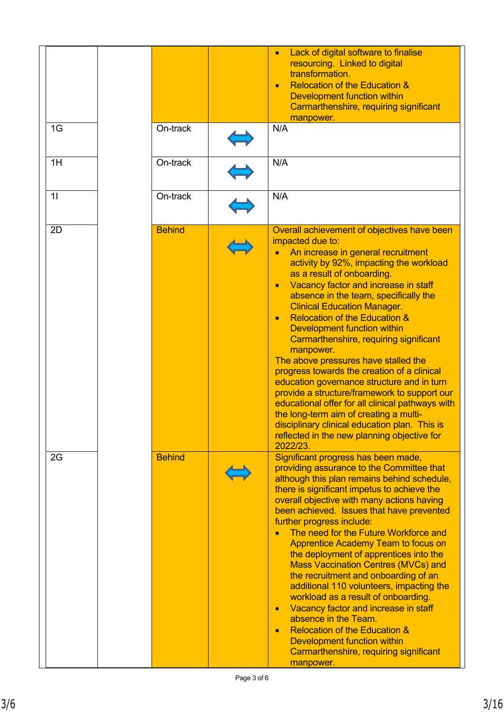|    |               | Lack of digital software to finalise<br>resourcing. Linked to digital<br>transformation.                                                                                                                                                                                                                                                                                                                                                                                                                                                                                                                                                                                                                                                                                                                                                     |
|----|---------------|----------------------------------------------------------------------------------------------------------------------------------------------------------------------------------------------------------------------------------------------------------------------------------------------------------------------------------------------------------------------------------------------------------------------------------------------------------------------------------------------------------------------------------------------------------------------------------------------------------------------------------------------------------------------------------------------------------------------------------------------------------------------------------------------------------------------------------------------|
|    |               | <b>Relocation of the Education &amp;</b><br>$\bullet$<br>Development function within<br>Carmarthenshire, requiring significant                                                                                                                                                                                                                                                                                                                                                                                                                                                                                                                                                                                                                                                                                                               |
|    |               | manpower.                                                                                                                                                                                                                                                                                                                                                                                                                                                                                                                                                                                                                                                                                                                                                                                                                                    |
| 1G | On-track      | N/A                                                                                                                                                                                                                                                                                                                                                                                                                                                                                                                                                                                                                                                                                                                                                                                                                                          |
| 1H | On-track      | N/A                                                                                                                                                                                                                                                                                                                                                                                                                                                                                                                                                                                                                                                                                                                                                                                                                                          |
| 11 | On-track      | N/A                                                                                                                                                                                                                                                                                                                                                                                                                                                                                                                                                                                                                                                                                                                                                                                                                                          |
| 2D | <b>Behind</b> | Overall achievement of objectives have been<br>impacted due to:<br>An increase in general recruitment<br>activity by 92%, impacting the workload<br>as a result of onboarding.<br>Vacancy factor and increase in staff<br>absence in the team, specifically the<br><b>Clinical Education Manager.</b><br><b>Relocation of the Education &amp;</b><br>Development function within<br>Carmarthenshire, requiring significant<br>manpower.<br>The above pressures have stalled the<br>progress towards the creation of a clinical<br>education governance structure and in turn<br>provide a structure/framework to support our<br>educational offer for all clinical pathways with<br>the long-term aim of creating a multi-<br>disciplinary clinical education plan. This is<br>reflected in the new planning objective for<br>2022/23.       |
| 2G | <b>Behind</b> | Significant progress has been made,<br>providing assurance to the Committee that<br>although this plan remains behind schedule,<br>there is significant impetus to achieve the<br>overall objective with many actions having<br>been achieved. Issues that have prevented<br>further progress include:<br>The need for the Future Workforce and<br><b>Apprentice Academy Team to focus on</b><br>the deployment of apprentices into the<br><b>Mass Vaccination Centres (MVCs) and</b><br>the recruitment and onboarding of an<br>additional 110 volunteers, impacting the<br>workload as a result of onboarding.<br>Vacancy factor and increase in staff<br>$\bullet$<br>absence in the Team.<br><b>Relocation of the Education &amp;</b><br>$\bullet$<br>Development function within<br>Carmarthenshire, requiring significant<br>manpower. |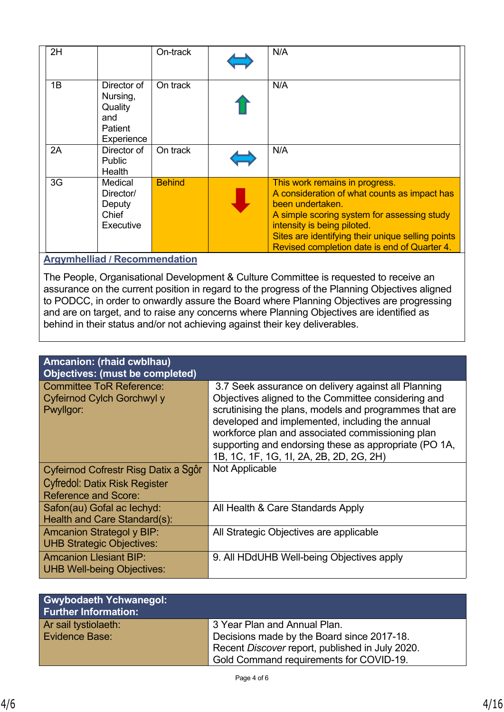| 2H |                                                                    | On-track      | N/A                                                                                                                                                                                                                                                                                   |
|----|--------------------------------------------------------------------|---------------|---------------------------------------------------------------------------------------------------------------------------------------------------------------------------------------------------------------------------------------------------------------------------------------|
| 1B | Director of<br>Nursing,<br>Quality<br>and<br>Patient<br>Experience | On track      | N/A                                                                                                                                                                                                                                                                                   |
| 2A | Director of<br><b>Public</b><br>Health                             | On track      | N/A                                                                                                                                                                                                                                                                                   |
| 3G | Medical<br>Director/<br>Deputy<br>Chief<br>Executive               | <b>Behind</b> | This work remains in progress.<br>A consideration of what counts as impact has<br>been undertaken.<br>A simple scoring system for assessing study<br>intensity is being piloted.<br>Sites are identifying their unique selling points<br>Revised completion date is end of Quarter 4. |

## **Argymhelliad / Recommendation**

The People, Organisational Development & Culture Committee is requested to receive an assurance on the current position in regard to the progress of the Planning Objectives aligned to PODCC, in order to onwardly assure the Board where Planning Objectives are progressing and are on target, and to raise any concerns where Planning Objectives are identified as behind in their status and/or not achieving against their key deliverables.

| Amcanion: (rhaid cwblhau)                                                  |                                                                                                                                                                                                                                                                                                                                                                                 |
|----------------------------------------------------------------------------|---------------------------------------------------------------------------------------------------------------------------------------------------------------------------------------------------------------------------------------------------------------------------------------------------------------------------------------------------------------------------------|
| <b>Objectives: (must be completed)</b>                                     |                                                                                                                                                                                                                                                                                                                                                                                 |
| <b>Committee ToR Reference:</b><br>Cyfeirnod Cylch Gorchwyl y<br>Pwyllgor: | 3.7 Seek assurance on delivery against all Planning<br>Objectives aligned to the Committee considering and<br>scrutinising the plans, models and programmes that are<br>developed and implemented, including the annual<br>workforce plan and associated commissioning plan<br>supporting and endorsing these as appropriate (PO 1A,<br>1B, 1C, 1F, 1G, 1I, 2A, 2B, 2D, 2G, 2H) |
| Cyfeirnod Cofrestr Risg Datix a Sgôr                                       | Not Applicable                                                                                                                                                                                                                                                                                                                                                                  |
| <b>Cyfredol: Datix Risk Register</b>                                       |                                                                                                                                                                                                                                                                                                                                                                                 |
| <b>Reference and Score:</b>                                                |                                                                                                                                                                                                                                                                                                                                                                                 |
| Safon(au) Gofal ac lechyd:<br>Health and Care Standard(s):                 | All Health & Care Standards Apply                                                                                                                                                                                                                                                                                                                                               |
| <b>Amcanion Strategol y BIP:</b><br><b>UHB Strategic Objectives:</b>       | All Strategic Objectives are applicable                                                                                                                                                                                                                                                                                                                                         |
| <b>Amcanion Llesiant BIP:</b><br><b>UHB Well-being Objectives:</b>         | 9. All HDdUHB Well-being Objectives apply                                                                                                                                                                                                                                                                                                                                       |

| <b>Gwybodaeth Ychwanegol:</b><br><b>Further Information:</b> |                                                 |
|--------------------------------------------------------------|-------------------------------------------------|
| Ar sail tystiolaeth:                                         | 3 Year Plan and Annual Plan.                    |
| Evidence Base:                                               | Decisions made by the Board since 2017-18.      |
|                                                              | Recent Discover report, published in July 2020. |
|                                                              | Gold Command requirements for COVID-19.         |

Choose an item.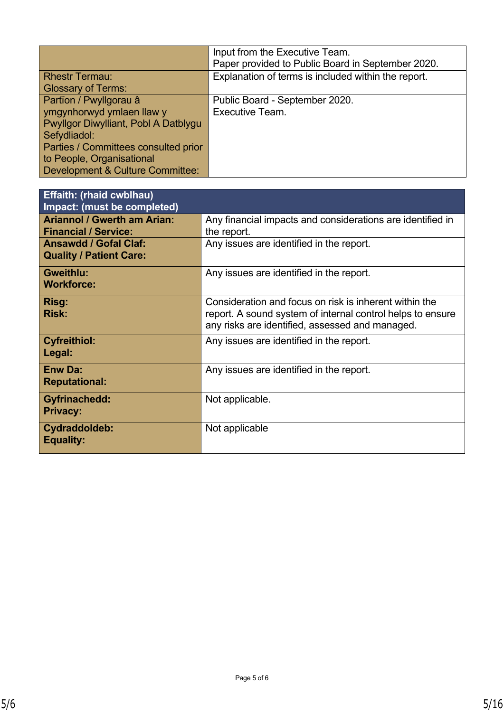|                                             | Input from the Executive Team.<br>Paper provided to Public Board in September 2020. |
|---------------------------------------------|-------------------------------------------------------------------------------------|
| <b>Rhestr Termau:</b>                       | Explanation of terms is included within the report.                                 |
| <b>Glossary of Terms:</b>                   |                                                                                     |
| Partïon / Pwyllgorau â                      | Public Board - September 2020.                                                      |
| ymgynhorwyd ymlaen llaw y                   | Executive Team.                                                                     |
| Pwyllgor Diwylliant, Pobl A Datblygu        |                                                                                     |
| Sefydliadol:                                |                                                                                     |
| Parties / Committees consulted prior        |                                                                                     |
| to People, Organisational                   |                                                                                     |
| <b>Development &amp; Culture Committee:</b> |                                                                                     |

| <b>Effaith: (rhaid cwblhau)</b><br>Impact: (must be completed)    |                                                                                                                                                                         |
|-------------------------------------------------------------------|-------------------------------------------------------------------------------------------------------------------------------------------------------------------------|
| <b>Ariannol / Gwerth am Arian:</b><br><b>Financial / Service:</b> | Any financial impacts and considerations are identified in<br>the report.                                                                                               |
| <b>Ansawdd / Gofal Claf:</b><br><b>Quality / Patient Care:</b>    | Any issues are identified in the report.                                                                                                                                |
| <b>Gweithlu:</b><br><b>Workforce:</b>                             | Any issues are identified in the report.                                                                                                                                |
| Risg:<br><b>Risk:</b>                                             | Consideration and focus on risk is inherent within the<br>report. A sound system of internal control helps to ensure<br>any risks are identified, assessed and managed. |
| <b>Cyfreithiol:</b><br>Legal:                                     | Any issues are identified in the report.                                                                                                                                |
| <b>Enw Da:</b><br><b>Reputational:</b>                            | Any issues are identified in the report.                                                                                                                                |
| <b>Gyfrinachedd:</b><br><b>Privacy:</b>                           | Not applicable.                                                                                                                                                         |
| Cydraddoldeb:<br><b>Equality:</b>                                 | Not applicable                                                                                                                                                          |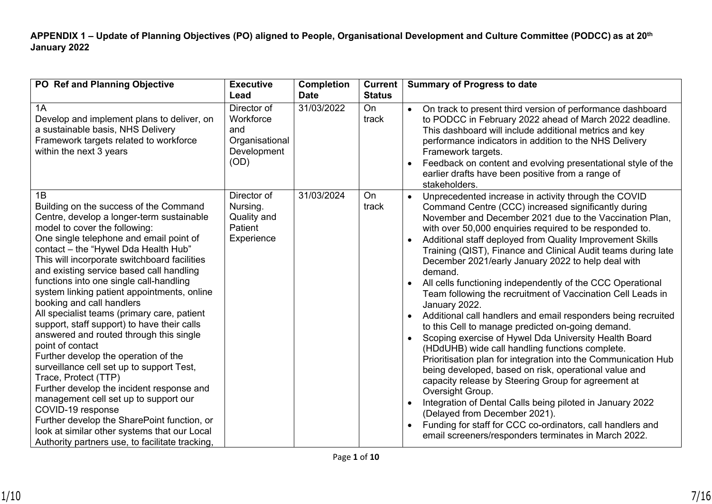**APPENDIX 1 – Update of Planning Objectives (PO) aligned to People, Organisational Development and Culture Committee (PODCC) as at 20th January 2022**

| PO Ref and Planning Objective                                                                                                                                                                                                                                                                                                                                                                                                                                                                                                                                                                                                                                                                                                                                                                                                                                                                                                                                           | <b>Executive</b><br>Lead                                                 | <b>Completion</b><br><b>Date</b> | <b>Current</b><br><b>Status</b> | <b>Summary of Progress to date</b>                                                                                                                                                                                                                                                                                                                                                                                                                                                                                                                                                                                                                                                                                                                                                                                                                                                                                                                                                                                                                                                                                                                                                                                                                                   |
|-------------------------------------------------------------------------------------------------------------------------------------------------------------------------------------------------------------------------------------------------------------------------------------------------------------------------------------------------------------------------------------------------------------------------------------------------------------------------------------------------------------------------------------------------------------------------------------------------------------------------------------------------------------------------------------------------------------------------------------------------------------------------------------------------------------------------------------------------------------------------------------------------------------------------------------------------------------------------|--------------------------------------------------------------------------|----------------------------------|---------------------------------|----------------------------------------------------------------------------------------------------------------------------------------------------------------------------------------------------------------------------------------------------------------------------------------------------------------------------------------------------------------------------------------------------------------------------------------------------------------------------------------------------------------------------------------------------------------------------------------------------------------------------------------------------------------------------------------------------------------------------------------------------------------------------------------------------------------------------------------------------------------------------------------------------------------------------------------------------------------------------------------------------------------------------------------------------------------------------------------------------------------------------------------------------------------------------------------------------------------------------------------------------------------------|
| 1A<br>Develop and implement plans to deliver, on<br>a sustainable basis, NHS Delivery<br>Framework targets related to workforce<br>within the next 3 years                                                                                                                                                                                                                                                                                                                                                                                                                                                                                                                                                                                                                                                                                                                                                                                                              | Director of<br>Workforce<br>and<br>Organisational<br>Development<br>(OD) | 31/03/2022                       | On<br>track                     | On track to present third version of performance dashboard<br>$\bullet$<br>to PODCC in February 2022 ahead of March 2022 deadline.<br>This dashboard will include additional metrics and key<br>performance indicators in addition to the NHS Delivery<br>Framework targets.<br>Feedback on content and evolving presentational style of the<br>$\bullet$<br>earlier drafts have been positive from a range of<br>stakeholders.                                                                                                                                                                                                                                                                                                                                                                                                                                                                                                                                                                                                                                                                                                                                                                                                                                      |
| 1B<br>Building on the success of the Command<br>Centre, develop a longer-term sustainable<br>model to cover the following:<br>One single telephone and email point of<br>contact - the "Hywel Dda Health Hub"<br>This will incorporate switchboard facilities<br>and existing service based call handling<br>functions into one single call-handling<br>system linking patient appointments, online<br>booking and call handlers<br>All specialist teams (primary care, patient<br>support, staff support) to have their calls<br>answered and routed through this single<br>point of contact<br>Further develop the operation of the<br>surveillance cell set up to support Test,<br>Trace, Protect (TTP)<br>Further develop the incident response and<br>management cell set up to support our<br>COVID-19 response<br>Further develop the SharePoint function, or<br>look at similar other systems that our Local<br>Authority partners use, to facilitate tracking, | Director of<br>Nursing.<br>Quality and<br>Patient<br>Experience          | 31/03/2024                       | On<br>track                     | Unprecedented increase in activity through the COVID<br>Command Centre (CCC) increased significantly during<br>November and December 2021 due to the Vaccination Plan,<br>with over 50,000 enquiries required to be responded to.<br>Additional staff deployed from Quality Improvement Skills<br>Training (QIST), Finance and Clinical Audit teams during late<br>December 2021/early January 2022 to help deal with<br>demand.<br>All cells functioning independently of the CCC Operational<br>Team following the recruitment of Vaccination Cell Leads in<br>January 2022.<br>Additional call handlers and email responders being recruited<br>$\bullet$<br>to this Cell to manage predicted on-going demand.<br>Scoping exercise of Hywel Dda University Health Board<br>(HDdUHB) wide call handling functions complete.<br>Prioritisation plan for integration into the Communication Hub<br>being developed, based on risk, operational value and<br>capacity release by Steering Group for agreement at<br>Oversight Group.<br>Integration of Dental Calls being piloted in January 2022<br>(Delayed from December 2021).<br>Funding for staff for CCC co-ordinators, call handlers and<br>$\bullet$<br>email screeners/responders terminates in March 2022. |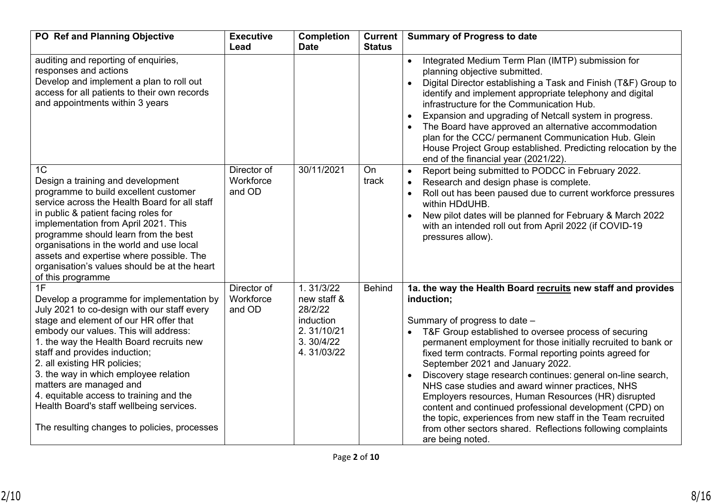| PO Ref and Planning Objective                                                                                                                                                                                                                                                                                                                                                                                                                                                                             | <b>Executive</b><br>Lead           | <b>Completion</b><br><b>Date</b>                                                           | Current  <br><b>Status</b> | <b>Summary of Progress to date</b>                                                                                                                                                                                                                                                                                                                                                                                                                                                                                                                                                                                                                                                                                                       |
|-----------------------------------------------------------------------------------------------------------------------------------------------------------------------------------------------------------------------------------------------------------------------------------------------------------------------------------------------------------------------------------------------------------------------------------------------------------------------------------------------------------|------------------------------------|--------------------------------------------------------------------------------------------|----------------------------|------------------------------------------------------------------------------------------------------------------------------------------------------------------------------------------------------------------------------------------------------------------------------------------------------------------------------------------------------------------------------------------------------------------------------------------------------------------------------------------------------------------------------------------------------------------------------------------------------------------------------------------------------------------------------------------------------------------------------------------|
| auditing and reporting of enquiries,<br>responses and actions<br>Develop and implement a plan to roll out<br>access for all patients to their own records<br>and appointments within 3 years                                                                                                                                                                                                                                                                                                              |                                    |                                                                                            |                            | Integrated Medium Term Plan (IMTP) submission for<br>$\bullet$<br>planning objective submitted.<br>Digital Director establishing a Task and Finish (T&F) Group to<br>identify and implement appropriate telephony and digital<br>infrastructure for the Communication Hub.<br>Expansion and upgrading of Netcall system in progress.<br>The Board have approved an alternative accommodation<br>plan for the CCC/ permanent Communication Hub. Glein<br>House Project Group established. Predicting relocation by the<br>end of the financial year (2021/22).                                                                                                                                                                            |
| 1 <sup>C</sup><br>Design a training and development<br>programme to build excellent customer<br>service across the Health Board for all staff<br>in public & patient facing roles for<br>implementation from April 2021. This<br>programme should learn from the best<br>organisations in the world and use local<br>assets and expertise where possible. The<br>organisation's values should be at the heart<br>of this programme                                                                        | Director of<br>Workforce<br>and OD | 30/11/2021                                                                                 | On<br>track                | Report being submitted to PODCC in February 2022.<br>$\bullet$<br>Research and design phase is complete.<br>Roll out has been paused due to current workforce pressures<br>within HDdUHB.<br>New pilot dates will be planned for February & March 2022<br>with an intended roll out from April 2022 (if COVID-19<br>pressures allow).                                                                                                                                                                                                                                                                                                                                                                                                    |
| 1F<br>Develop a programme for implementation by<br>July 2021 to co-design with our staff every<br>stage and element of our HR offer that<br>embody our values. This will address:<br>1. the way the Health Board recruits new<br>staff and provides induction;<br>2. all existing HR policies;<br>3. the way in which employee relation<br>matters are managed and<br>4. equitable access to training and the<br>Health Board's staff wellbeing services.<br>The resulting changes to policies, processes | Director of<br>Workforce<br>and OD | 1.31/3/22<br>new staff &<br>28/2/22<br>induction<br>2.31/10/21<br>3. 30/4/22<br>4.31/03/22 | <b>Behind</b>              | 1a. the way the Health Board recruits new staff and provides<br>induction;<br>Summary of progress to date -<br>T&F Group established to oversee process of securing<br>$\bullet$<br>permanent employment for those initially recruited to bank or<br>fixed term contracts. Formal reporting points agreed for<br>September 2021 and January 2022.<br>Discovery stage research continues: general on-line search,<br>NHS case studies and award winner practices, NHS<br>Employers resources, Human Resources (HR) disrupted<br>content and continued professional development (CPD) on<br>the topic, experiences from new staff in the Team recruited<br>from other sectors shared. Reflections following complaints<br>are being noted. |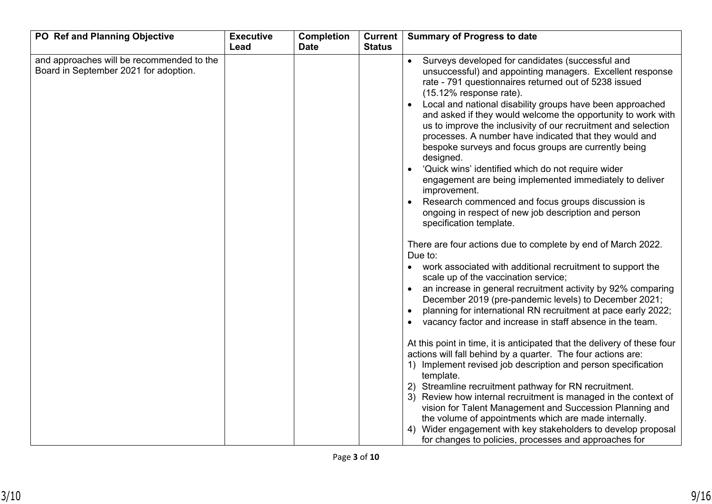| PO Ref and Planning Objective                                                      | <b>Executive</b> | <b>Completion</b> | Current       | <b>Summary of Progress to date</b>                                                                                                                                                                                                                                                                                                                                                                                                                                                                                                                                                                                                                                                                                                                                                                                                                                                                                                                             |
|------------------------------------------------------------------------------------|------------------|-------------------|---------------|----------------------------------------------------------------------------------------------------------------------------------------------------------------------------------------------------------------------------------------------------------------------------------------------------------------------------------------------------------------------------------------------------------------------------------------------------------------------------------------------------------------------------------------------------------------------------------------------------------------------------------------------------------------------------------------------------------------------------------------------------------------------------------------------------------------------------------------------------------------------------------------------------------------------------------------------------------------|
| and approaches will be recommended to the<br>Board in September 2021 for adoption. | Lead             | <b>Date</b>       | <b>Status</b> | Surveys developed for candidates (successful and<br>$\bullet$<br>unsuccessful) and appointing managers. Excellent response<br>rate - 791 questionnaires returned out of 5238 issued<br>(15.12% response rate).<br>Local and national disability groups have been approached<br>and asked if they would welcome the opportunity to work with<br>us to improve the inclusivity of our recruitment and selection<br>processes. A number have indicated that they would and<br>bespoke surveys and focus groups are currently being<br>designed.<br>'Quick wins' identified which do not require wider<br>engagement are being implemented immediately to deliver<br>improvement.<br>Research commenced and focus groups discussion is<br>ongoing in respect of new job description and person<br>specification template.<br>There are four actions due to complete by end of March 2022.<br>Due to:                                                               |
|                                                                                    |                  |                   |               | work associated with additional recruitment to support the<br>scale up of the vaccination service;<br>an increase in general recruitment activity by 92% comparing<br>December 2019 (pre-pandemic levels) to December 2021;<br>planning for international RN recruitment at pace early 2022;<br>vacancy factor and increase in staff absence in the team.<br>At this point in time, it is anticipated that the delivery of these four<br>actions will fall behind by a quarter. The four actions are:<br>1) Implement revised job description and person specification<br>template.<br>2) Streamline recruitment pathway for RN recruitment.<br>3) Review how internal recruitment is managed in the context of<br>vision for Talent Management and Succession Planning and<br>the volume of appointments which are made internally.<br>4) Wider engagement with key stakeholders to develop proposal<br>for changes to policies, processes and approaches for |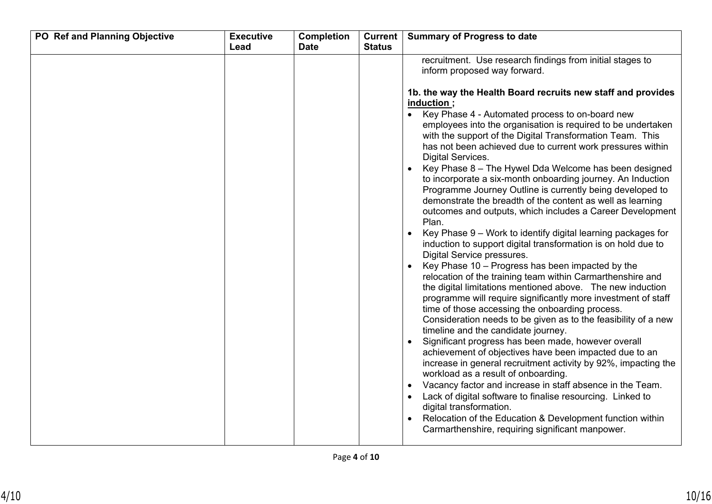| Lead<br><b>Date</b><br><b>Status</b><br>recruitment. Use research findings from initial stages to<br>inform proposed way forward.<br>1b. the way the Health Board recruits new staff and provides<br>induction;<br>Key Phase 4 - Automated process to on-board new<br>$\bullet$<br>employees into the organisation is required to be undertaken<br>with the support of the Digital Transformation Team. This<br>has not been achieved due to current work pressures within<br><b>Digital Services.</b><br>Key Phase 8 - The Hywel Dda Welcome has been designed<br>to incorporate a six-month onboarding journey. An Induction<br>Programme Journey Outline is currently being developed to<br>demonstrate the breadth of the content as well as learning<br>outcomes and outputs, which includes a Career Development<br>Plan.<br>Key Phase 9 - Work to identify digital learning packages for<br>induction to support digital transformation is on hold due to<br>Digital Service pressures.<br>Key Phase 10 - Progress has been impacted by the<br>relocation of the training team within Carmarthenshire and<br>the digital limitations mentioned above. The new induction<br>programme will require significantly more investment of staff<br>time of those accessing the onboarding process.<br>Consideration needs to be given as to the feasibility of a new<br>timeline and the candidate journey.<br>Significant progress has been made, however overall<br>achievement of objectives have been impacted due to an<br>increase in general recruitment activity by 92%, impacting the |  |
|------------------------------------------------------------------------------------------------------------------------------------------------------------------------------------------------------------------------------------------------------------------------------------------------------------------------------------------------------------------------------------------------------------------------------------------------------------------------------------------------------------------------------------------------------------------------------------------------------------------------------------------------------------------------------------------------------------------------------------------------------------------------------------------------------------------------------------------------------------------------------------------------------------------------------------------------------------------------------------------------------------------------------------------------------------------------------------------------------------------------------------------------------------------------------------------------------------------------------------------------------------------------------------------------------------------------------------------------------------------------------------------------------------------------------------------------------------------------------------------------------------------------------------------------------------------------------------------------|--|
| workload as a result of onboarding.<br>Vacancy factor and increase in staff absence in the Team.<br>$\bullet$<br>Lack of digital software to finalise resourcing. Linked to<br>digital transformation.                                                                                                                                                                                                                                                                                                                                                                                                                                                                                                                                                                                                                                                                                                                                                                                                                                                                                                                                                                                                                                                                                                                                                                                                                                                                                                                                                                                         |  |
|                                                                                                                                                                                                                                                                                                                                                                                                                                                                                                                                                                                                                                                                                                                                                                                                                                                                                                                                                                                                                                                                                                                                                                                                                                                                                                                                                                                                                                                                                                                                                                                                |  |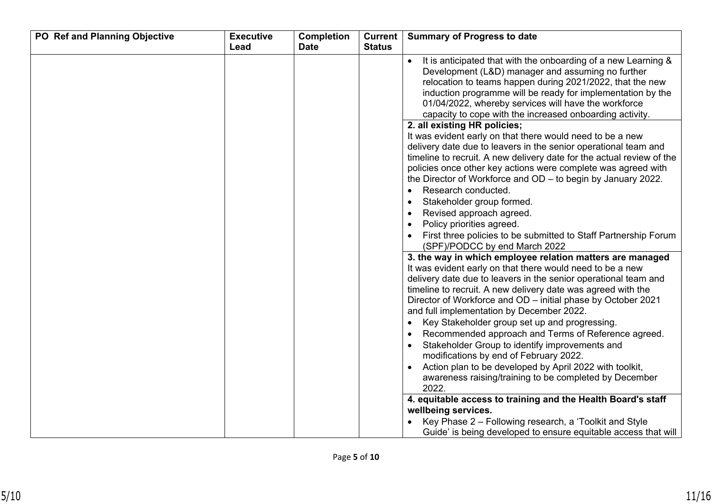| PO Ref and Planning Objective | <b>Executive</b> | <b>Completion</b> | <b>Current</b> | <b>Summary of Progress to date</b>                                                                                                                                                                                                                                                                                                                                                                                                                                                                                                                                                                                                                                                                                    |
|-------------------------------|------------------|-------------------|----------------|-----------------------------------------------------------------------------------------------------------------------------------------------------------------------------------------------------------------------------------------------------------------------------------------------------------------------------------------------------------------------------------------------------------------------------------------------------------------------------------------------------------------------------------------------------------------------------------------------------------------------------------------------------------------------------------------------------------------------|
|                               | Lead             | <b>Date</b>       | <b>Status</b>  |                                                                                                                                                                                                                                                                                                                                                                                                                                                                                                                                                                                                                                                                                                                       |
|                               |                  |                   |                | It is anticipated that with the onboarding of a new Learning &<br>Development (L&D) manager and assuming no further<br>relocation to teams happen during 2021/2022, that the new<br>induction programme will be ready for implementation by the<br>01/04/2022, whereby services will have the workforce<br>capacity to cope with the increased onboarding activity.<br>2. all existing HR policies;                                                                                                                                                                                                                                                                                                                   |
|                               |                  |                   |                | It was evident early on that there would need to be a new<br>delivery date due to leavers in the senior operational team and<br>timeline to recruit. A new delivery date for the actual review of the<br>policies once other key actions were complete was agreed with<br>the Director of Workforce and OD - to begin by January 2022.<br>Research conducted.<br>$\bullet$<br>Stakeholder group formed.<br>$\bullet$<br>Revised approach agreed.<br>$\bullet$<br>Policy priorities agreed.<br>$\bullet$<br>First three policies to be submitted to Staff Partnership Forum<br>(SPF)/PODCC by end March 2022                                                                                                           |
|                               |                  |                   |                | 3. the way in which employee relation matters are managed<br>It was evident early on that there would need to be a new<br>delivery date due to leavers in the senior operational team and<br>timeline to recruit. A new delivery date was agreed with the<br>Director of Workforce and OD - initial phase by October 2021<br>and full implementation by December 2022.<br>Key Stakeholder group set up and progressing.<br>$\bullet$<br>Recommended approach and Terms of Reference agreed.<br>Stakeholder Group to identify improvements and<br>modifications by end of February 2022.<br>Action plan to be developed by April 2022 with toolkit,<br>awareness raising/training to be completed by December<br>2022. |
|                               |                  |                   |                | 4. equitable access to training and the Health Board's staff<br>wellbeing services.<br>Key Phase 2 - Following research, a 'Toolkit and Style<br>Guide' is being developed to ensure equitable access that will                                                                                                                                                                                                                                                                                                                                                                                                                                                                                                       |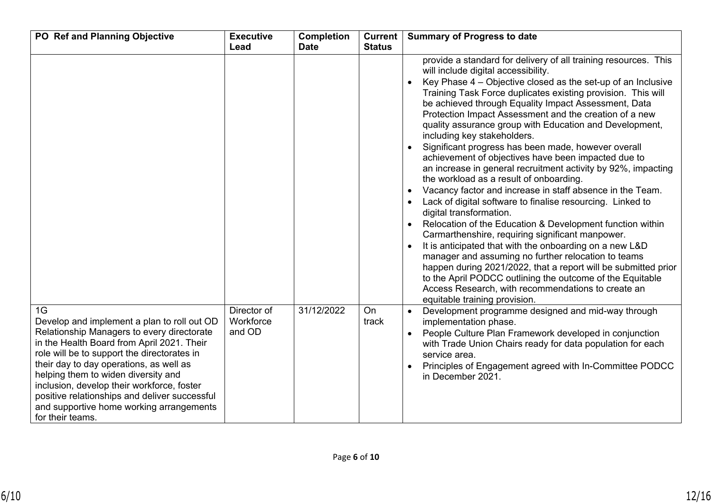| PO Ref and Planning Objective                                                                                                                                                                                                                                                                                                                                                                                                                 | <b>Executive</b><br>Lead           | <b>Completion</b><br><b>Date</b> | Current  <br><b>Status</b> | <b>Summary of Progress to date</b>                                                                                                                                                                                                                                                                                                                                                                                                                                                                                                                                                                                                                                                                                                                                                                                                                                                                                                                                                                                                                                                                                                                                                                                                                                                          |
|-----------------------------------------------------------------------------------------------------------------------------------------------------------------------------------------------------------------------------------------------------------------------------------------------------------------------------------------------------------------------------------------------------------------------------------------------|------------------------------------|----------------------------------|----------------------------|---------------------------------------------------------------------------------------------------------------------------------------------------------------------------------------------------------------------------------------------------------------------------------------------------------------------------------------------------------------------------------------------------------------------------------------------------------------------------------------------------------------------------------------------------------------------------------------------------------------------------------------------------------------------------------------------------------------------------------------------------------------------------------------------------------------------------------------------------------------------------------------------------------------------------------------------------------------------------------------------------------------------------------------------------------------------------------------------------------------------------------------------------------------------------------------------------------------------------------------------------------------------------------------------|
|                                                                                                                                                                                                                                                                                                                                                                                                                                               |                                    |                                  |                            | provide a standard for delivery of all training resources. This<br>will include digital accessibility.<br>Key Phase 4 - Objective closed as the set-up of an Inclusive<br>Training Task Force duplicates existing provision. This will<br>be achieved through Equality Impact Assessment, Data<br>Protection Impact Assessment and the creation of a new<br>quality assurance group with Education and Development,<br>including key stakeholders.<br>Significant progress has been made, however overall<br>achievement of objectives have been impacted due to<br>an increase in general recruitment activity by 92%, impacting<br>the workload as a result of onboarding.<br>Vacancy factor and increase in staff absence in the Team.<br>Lack of digital software to finalise resourcing. Linked to<br>digital transformation.<br>Relocation of the Education & Development function within<br>Carmarthenshire, requiring significant manpower.<br>It is anticipated that with the onboarding on a new L&D<br>manager and assuming no further relocation to teams<br>happen during 2021/2022, that a report will be submitted prior<br>to the April PODCC outlining the outcome of the Equitable<br>Access Research, with recommendations to create an<br>equitable training provision. |
| 1G<br>Develop and implement a plan to roll out OD<br>Relationship Managers to every directorate<br>in the Health Board from April 2021. Their<br>role will be to support the directorates in<br>their day to day operations, as well as<br>helping them to widen diversity and<br>inclusion, develop their workforce, foster<br>positive relationships and deliver successful<br>and supportive home working arrangements<br>for their teams. | Director of<br>Workforce<br>and OD | 31/12/2022                       | On<br>track                | Development programme designed and mid-way through<br>implementation phase.<br>People Culture Plan Framework developed in conjunction<br>with Trade Union Chairs ready for data population for each<br>service area.<br>Principles of Engagement agreed with In-Committee PODCC<br>in December 2021.                                                                                                                                                                                                                                                                                                                                                                                                                                                                                                                                                                                                                                                                                                                                                                                                                                                                                                                                                                                        |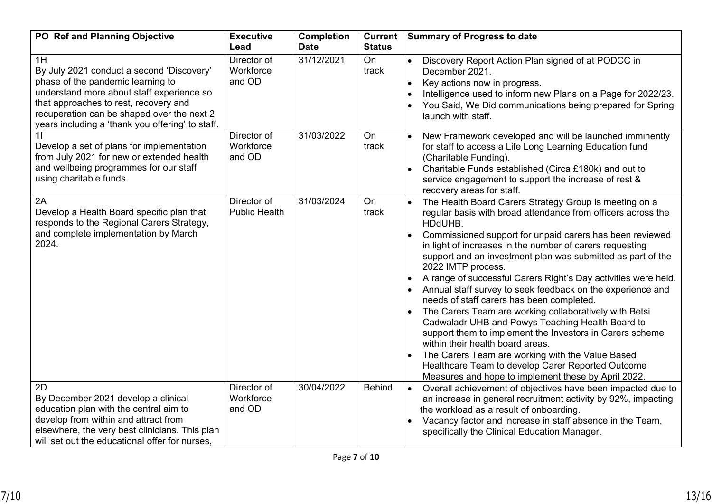| PO Ref and Planning Objective                                                                                                                                                                                                                                                | <b>Executive</b><br>Lead            | <b>Completion</b><br><b>Date</b> | Current  <br><b>Status</b> | <b>Summary of Progress to date</b>                                                                                                                                                                                                                                                                                                                                                                                                                                                                                                                                                                                                                                                                                                                                                                                                                                                                        |
|------------------------------------------------------------------------------------------------------------------------------------------------------------------------------------------------------------------------------------------------------------------------------|-------------------------------------|----------------------------------|----------------------------|-----------------------------------------------------------------------------------------------------------------------------------------------------------------------------------------------------------------------------------------------------------------------------------------------------------------------------------------------------------------------------------------------------------------------------------------------------------------------------------------------------------------------------------------------------------------------------------------------------------------------------------------------------------------------------------------------------------------------------------------------------------------------------------------------------------------------------------------------------------------------------------------------------------|
| 1H<br>By July 2021 conduct a second 'Discovery'<br>phase of the pandemic learning to<br>understand more about staff experience so<br>that approaches to rest, recovery and<br>recuperation can be shaped over the next 2<br>years including a 'thank you offering' to staff. | Director of<br>Workforce<br>and OD  | 31/12/2021                       | On<br>track                | Discovery Report Action Plan signed of at PODCC in<br>December 2021.<br>Key actions now in progress.<br>Intelligence used to inform new Plans on a Page for 2022/23.<br>You Said, We Did communications being prepared for Spring<br>launch with staff.                                                                                                                                                                                                                                                                                                                                                                                                                                                                                                                                                                                                                                                   |
| Develop a set of plans for implementation<br>from July 2021 for new or extended health<br>and wellbeing programmes for our staff<br>using charitable funds.                                                                                                                  | Director of<br>Workforce<br>and OD  | 31/03/2022                       | On<br>track                | New Framework developed and will be launched imminently<br>for staff to access a Life Long Learning Education fund<br>(Charitable Funding).<br>Charitable Funds established (Circa £180k) and out to<br>service engagement to support the increase of rest &<br>recovery areas for staff.                                                                                                                                                                                                                                                                                                                                                                                                                                                                                                                                                                                                                 |
| 2A<br>Develop a Health Board specific plan that<br>responds to the Regional Carers Strategy,<br>and complete implementation by March<br>2024.                                                                                                                                | Director of<br><b>Public Health</b> | 31/03/2024                       | On<br>track                | The Health Board Carers Strategy Group is meeting on a<br>regular basis with broad attendance from officers across the<br>HDdUHB.<br>Commissioned support for unpaid carers has been reviewed<br>in light of increases in the number of carers requesting<br>support and an investment plan was submitted as part of the<br>2022 IMTP process.<br>A range of successful Carers Right's Day activities were held.<br>Annual staff survey to seek feedback on the experience and<br>needs of staff carers has been completed.<br>The Carers Team are working collaboratively with Betsi<br>Cadwaladr UHB and Powys Teaching Health Board to<br>support them to implement the Investors in Carers scheme<br>within their health board areas.<br>The Carers Team are working with the Value Based<br>Healthcare Team to develop Carer Reported Outcome<br>Measures and hope to implement these by April 2022. |
| 2D<br>By December 2021 develop a clinical<br>education plan with the central aim to<br>develop from within and attract from<br>elsewhere, the very best clinicians. This plan<br>will set out the educational offer for nurses.                                              | Director of<br>Workforce<br>and OD  | 30/04/2022                       | <b>Behind</b>              | Overall achievement of objectives have been impacted due to<br>$\bullet$<br>an increase in general recruitment activity by 92%, impacting<br>the workload as a result of onboarding.<br>Vacancy factor and increase in staff absence in the Team,<br>specifically the Clinical Education Manager.                                                                                                                                                                                                                                                                                                                                                                                                                                                                                                                                                                                                         |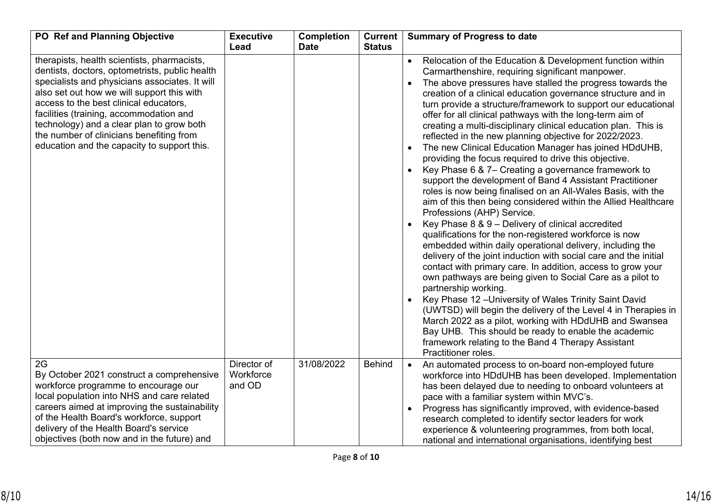| PO Ref and Planning Objective                                                                                                                                                                                                                                                                                                                                                                                              | <b>Executive</b><br>Lead           | <b>Completion</b><br><b>Date</b> | <b>Current</b><br><b>Status</b> | <b>Summary of Progress to date</b>                                                                                                                                                                                                                                                                                                                                                                                                                                                                                                                                                                                                                                                                                                                                                                                                                                                                                                                                                                                                                                                                                                                                                                                                                                                                                                                                                                                                                                                                                                                                                                                                                                 |
|----------------------------------------------------------------------------------------------------------------------------------------------------------------------------------------------------------------------------------------------------------------------------------------------------------------------------------------------------------------------------------------------------------------------------|------------------------------------|----------------------------------|---------------------------------|--------------------------------------------------------------------------------------------------------------------------------------------------------------------------------------------------------------------------------------------------------------------------------------------------------------------------------------------------------------------------------------------------------------------------------------------------------------------------------------------------------------------------------------------------------------------------------------------------------------------------------------------------------------------------------------------------------------------------------------------------------------------------------------------------------------------------------------------------------------------------------------------------------------------------------------------------------------------------------------------------------------------------------------------------------------------------------------------------------------------------------------------------------------------------------------------------------------------------------------------------------------------------------------------------------------------------------------------------------------------------------------------------------------------------------------------------------------------------------------------------------------------------------------------------------------------------------------------------------------------------------------------------------------------|
| therapists, health scientists, pharmacists,<br>dentists, doctors, optometrists, public health<br>specialists and physicians associates. It will<br>also set out how we will support this with<br>access to the best clinical educators,<br>facilities (training, accommodation and<br>technology) and a clear plan to grow both<br>the number of clinicians benefiting from<br>education and the capacity to support this. |                                    |                                  |                                 | Relocation of the Education & Development function within<br>Carmarthenshire, requiring significant manpower.<br>The above pressures have stalled the progress towards the<br>creation of a clinical education governance structure and in<br>turn provide a structure/framework to support our educational<br>offer for all clinical pathways with the long-term aim of<br>creating a multi-disciplinary clinical education plan. This is<br>reflected in the new planning objective for 2022/2023.<br>The new Clinical Education Manager has joined HDdUHB,<br>$\bullet$<br>providing the focus required to drive this objective.<br>Key Phase 6 & 7– Creating a governance framework to<br>$\bullet$<br>support the development of Band 4 Assistant Practitioner<br>roles is now being finalised on an All-Wales Basis, with the<br>aim of this then being considered within the Allied Healthcare<br>Professions (AHP) Service.<br>Key Phase 8 & 9 - Delivery of clinical accredited<br>qualifications for the non-registered workforce is now<br>embedded within daily operational delivery, including the<br>delivery of the joint induction with social care and the initial<br>contact with primary care. In addition, access to grow your<br>own pathways are being given to Social Care as a pilot to<br>partnership working.<br>Key Phase 12 - University of Wales Trinity Saint David<br>(UWTSD) will begin the delivery of the Level 4 in Therapies in<br>March 2022 as a pilot, working with HDdUHB and Swansea<br>Bay UHB. This should be ready to enable the academic<br>framework relating to the Band 4 Therapy Assistant<br>Practitioner roles. |
| 2G<br>By October 2021 construct a comprehensive<br>workforce programme to encourage our<br>local population into NHS and care related<br>careers aimed at improving the sustainability<br>of the Health Board's workforce, support<br>delivery of the Health Board's service<br>objectives (both now and in the future) and                                                                                                | Director of<br>Workforce<br>and OD | 31/08/2022                       | <b>Behind</b>                   | An automated process to on-board non-employed future<br>$\bullet$<br>workforce into HDdUHB has been developed. Implementation<br>has been delayed due to needing to onboard volunteers at<br>pace with a familiar system within MVC's.<br>Progress has significantly improved, with evidence-based<br>$\bullet$<br>research completed to identify sector leaders for work<br>experience & volunteering programmes, from both local,<br>national and international organisations, identifying best                                                                                                                                                                                                                                                                                                                                                                                                                                                                                                                                                                                                                                                                                                                                                                                                                                                                                                                                                                                                                                                                                                                                                                  |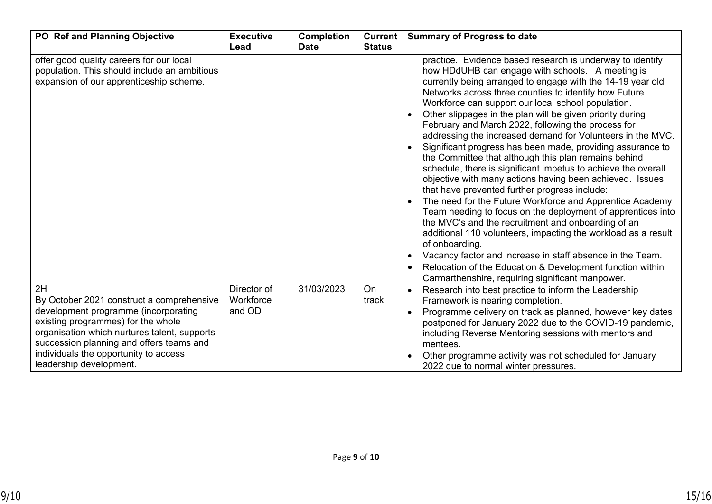| PO Ref and Planning Objective                                                                                                                                                                                                                                                                 | <b>Executive</b><br>Lead           | <b>Completion</b><br><b>Date</b> | <b>Current</b><br><b>Status</b> | <b>Summary of Progress to date</b>                                                                                                                                                                                                                                                                                                                                                                                                                                                                                                                                                                                                                                                                                                                                                                                                                                                                                                                                                                                                                                                                                                                                                                                                             |
|-----------------------------------------------------------------------------------------------------------------------------------------------------------------------------------------------------------------------------------------------------------------------------------------------|------------------------------------|----------------------------------|---------------------------------|------------------------------------------------------------------------------------------------------------------------------------------------------------------------------------------------------------------------------------------------------------------------------------------------------------------------------------------------------------------------------------------------------------------------------------------------------------------------------------------------------------------------------------------------------------------------------------------------------------------------------------------------------------------------------------------------------------------------------------------------------------------------------------------------------------------------------------------------------------------------------------------------------------------------------------------------------------------------------------------------------------------------------------------------------------------------------------------------------------------------------------------------------------------------------------------------------------------------------------------------|
| offer good quality careers for our local<br>population. This should include an ambitious<br>expansion of our apprenticeship scheme.                                                                                                                                                           |                                    |                                  |                                 | practice. Evidence based research is underway to identify<br>how HDdUHB can engage with schools. A meeting is<br>currently being arranged to engage with the 14-19 year old<br>Networks across three counties to identify how Future<br>Workforce can support our local school population.<br>Other slippages in the plan will be given priority during<br>February and March 2022, following the process for<br>addressing the increased demand for Volunteers in the MVC.<br>Significant progress has been made, providing assurance to<br>the Committee that although this plan remains behind<br>schedule, there is significant impetus to achieve the overall<br>objective with many actions having been achieved. Issues<br>that have prevented further progress include:<br>The need for the Future Workforce and Apprentice Academy<br>Team needing to focus on the deployment of apprentices into<br>the MVC's and the recruitment and onboarding of an<br>additional 110 volunteers, impacting the workload as a result<br>of onboarding.<br>Vacancy factor and increase in staff absence in the Team.<br>$\bullet$<br>Relocation of the Education & Development function within<br>Carmarthenshire, requiring significant manpower. |
| 2H<br>By October 2021 construct a comprehensive<br>development programme (incorporating<br>existing programmes) for the whole<br>organisation which nurtures talent, supports<br>succession planning and offers teams and<br>individuals the opportunity to access<br>leadership development. | Director of<br>Workforce<br>and OD | 31/03/2023                       | On<br>track                     | Research into best practice to inform the Leadership<br>Framework is nearing completion.<br>Programme delivery on track as planned, however key dates<br>postponed for January 2022 due to the COVID-19 pandemic,<br>including Reverse Mentoring sessions with mentors and<br>mentees.<br>Other programme activity was not scheduled for January<br>2022 due to normal winter pressures.                                                                                                                                                                                                                                                                                                                                                                                                                                                                                                                                                                                                                                                                                                                                                                                                                                                       |